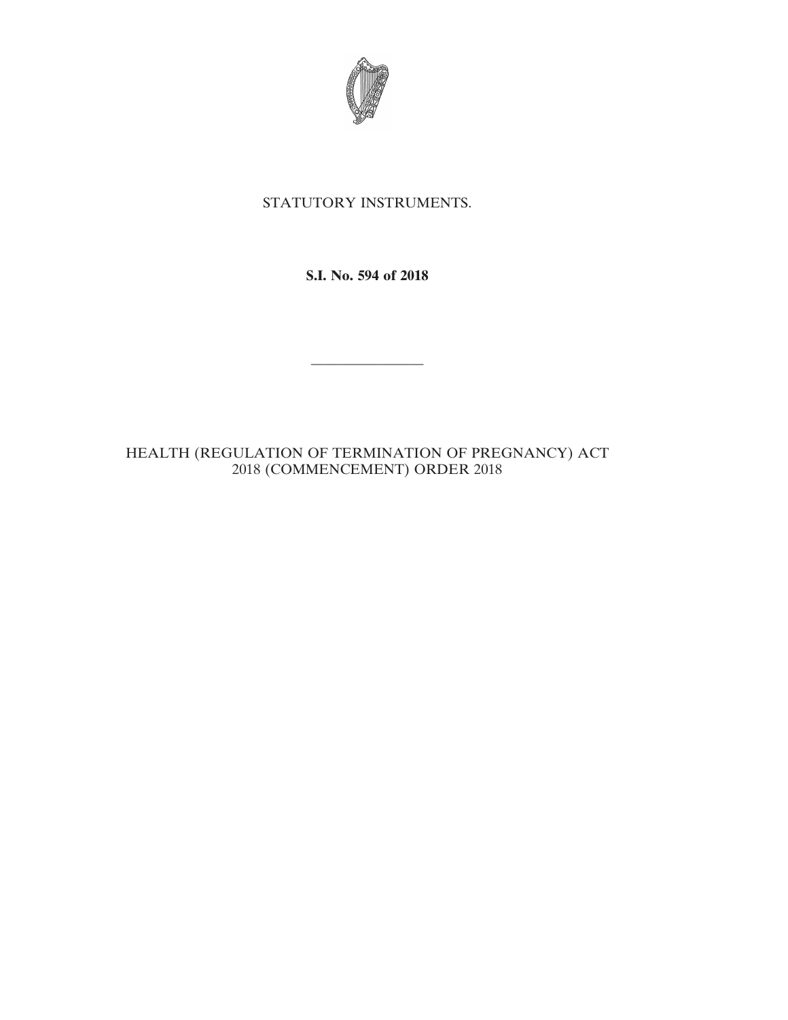

## STATUTORY INSTRUMENTS.

**S.I. No. 594 of 2018**

————————

HEALTH (REGULATION OF TERMINATION OF PREGNANCY) ACT 2018 (COMMENCEMENT) ORDER 2018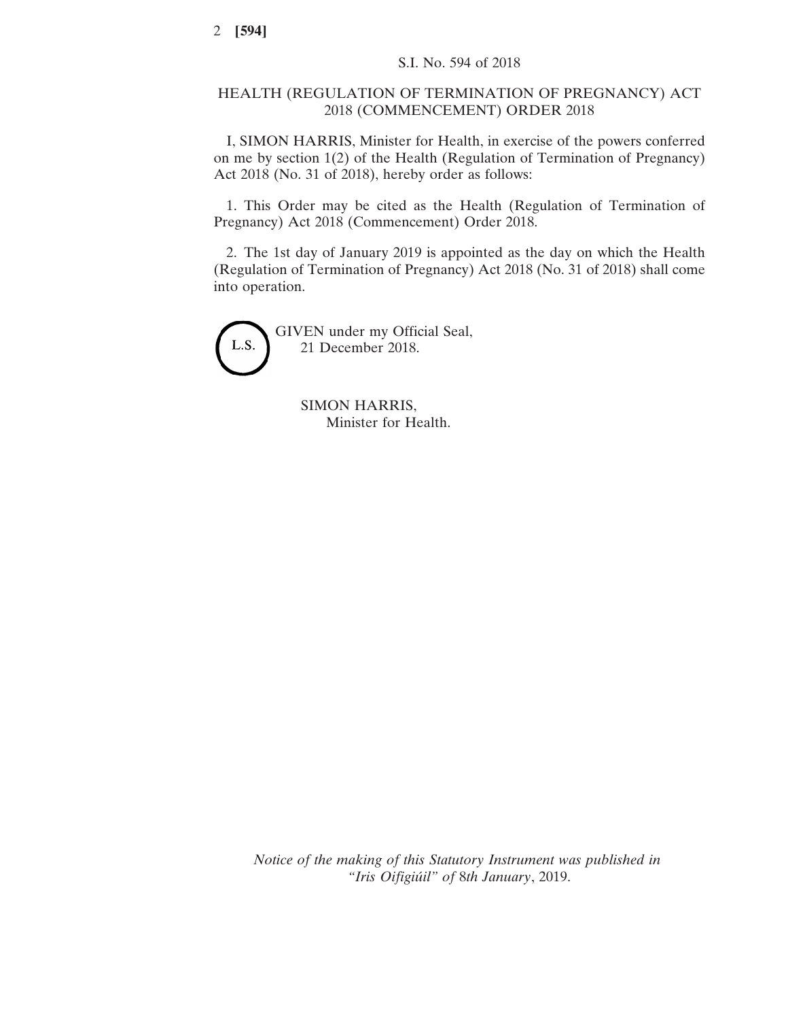## HEALTH (REGULATION OF TERMINATION OF PREGNANCY) ACT 2018 (COMMENCEMENT) ORDER 2018

I, SIMON HARRIS, Minister for Health, in exercise of the powers conferred on me by section 1(2) of the Health (Regulation of Termination of Pregnancy) Act 2018 (No. 31 of 2018), hereby order as follows:

1. This Order may be cited as the Health (Regulation of Termination of Pregnancy) Act 2018 (Commencement) Order 2018.

2. The 1st day of January 2019 is appointed as the day on which the Health (Regulation of Termination of Pregnancy) Act 2018 (No. 31 of 2018) shall come into operation.



GIVEN under my Official Seal, 21 December 2018.

> SIMON HARRIS, Minister for Health.

*Notice of the making of this Statutory Instrument was published in "Iris Oifigiúil" of* 8*th January*, 2019.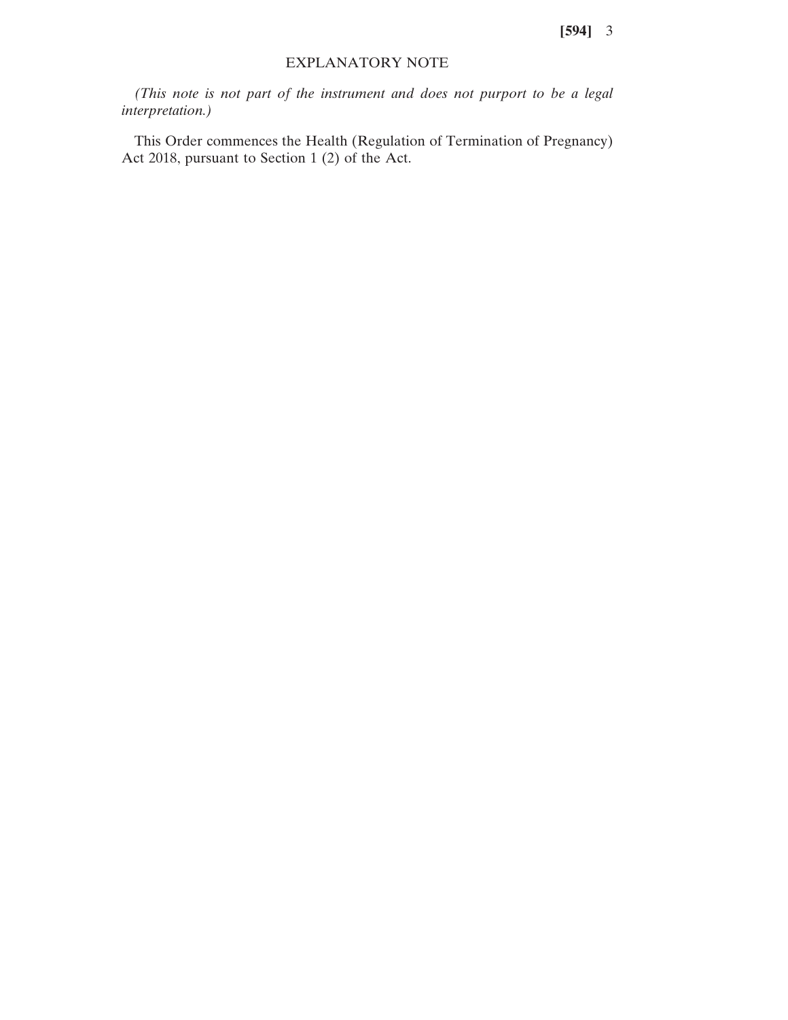**[594]** 3

## EXPLANATORY NOTE

*(This note is not part of the instrument and does not purport to be a legal interpretation.)*

This Order commences the Health (Regulation of Termination of Pregnancy) Act 2018, pursuant to Section 1 (2) of the Act.